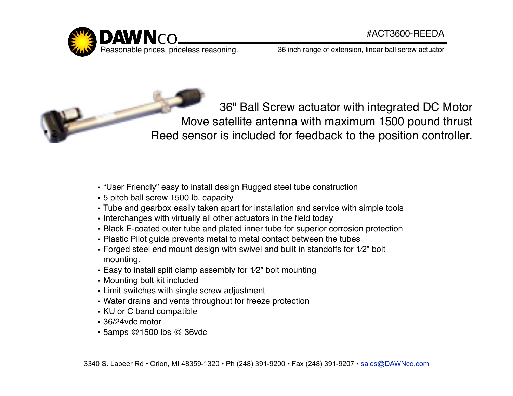

36 inch range of extension, linear ball screw actuator

36" Ball Screw actuator with integrated DC Motor Move satellite antenna with maximum 1500 pound thrust Reed sensor is included for feedback to the position controller.

- "User Friendly" easy to install design Rugged steel tube construction
- 5 pitch ball screw 1500 lb. capacity
- Tube and gearbox easily taken apart for installation and service with simple tools
- Interchanges with virtually all other actuators in the field today
- Black E-coated outer tube and plated inner tube for superior corrosion protection
- Plastic Pilot guide prevents metal to metal contact between the tubes
- Forged steel end mount design with swivel and built in standoffs for 1⁄2" bolt mounting.
- Easy to install split clamp assembly for 1⁄2" bolt mounting
- Mounting bolt kit included
- Limit switches with single screw adjustment
- Water drains and vents throughout for freeze protection
- KU or C band compatible
- 36/24vdc motor
- 5amps @1500 lbs @ 36vdc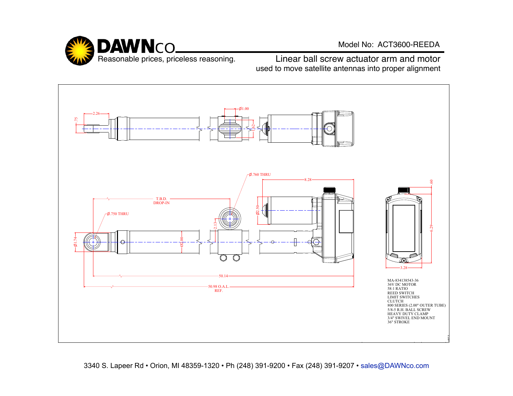

Model No: ACT3600-REEDA

Reasonable prices, priceless reasoning. Linear ball screw actuator arm and motor used to move satellite antennas into proper alignment



3340 S. Lapeer Rd • Orion, MI 48359-1320 • Ph (248) 391-9200 • Fax (248) 391-9207 • sales@DAWNco.com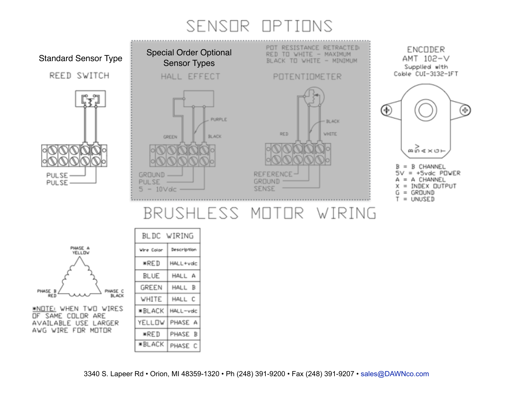# SENSOR OPTIONS



|                                                                                                                                                                   | BLDC WIRING   |             |
|-------------------------------------------------------------------------------------------------------------------------------------------------------------------|---------------|-------------|
| PHASE A<br><b>YELLOW</b><br>PHASE B<br>PHASE C<br><b>BLACK</b><br>RED<br>*NOTE: WHEN TWO WIRES<br>OF SAME COLOR ARE<br>AVAILABLE USE LARGER<br>AVG WIRE FOR MOTOR | Wire Color    | Description |
|                                                                                                                                                                   | *RED          | HALL+vdc    |
|                                                                                                                                                                   | BLUE          | HALL A      |
|                                                                                                                                                                   | GREEN         | HALL B      |
|                                                                                                                                                                   | WHITE         | HALL C      |
|                                                                                                                                                                   | <b>*BLACK</b> | HALL-vdc    |
|                                                                                                                                                                   | YELLOW        | PHASE A     |
|                                                                                                                                                                   | ∗RED          | PHASE<br>B  |
|                                                                                                                                                                   | ∗BLACK        | PHASE C     |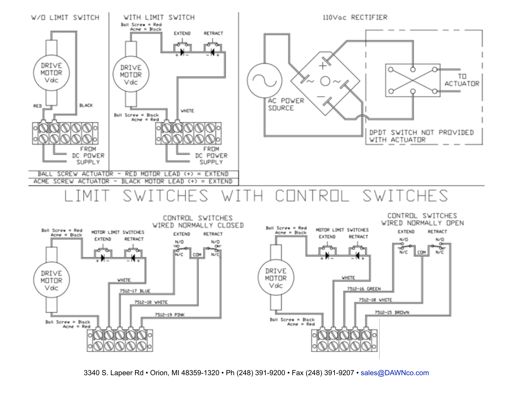



3340 S. Lapeer Rd • Orion, MI 48359-1320 • Ph (248) 391-9200 • Fax (248) 391-9207 • sales@DAWNco.com